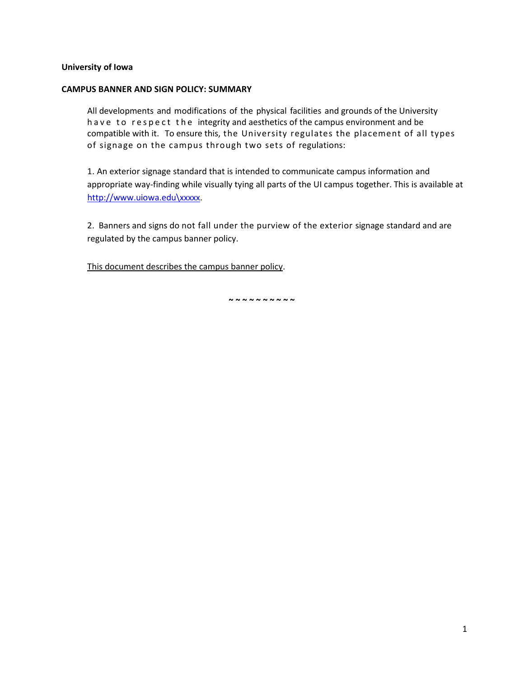## **University of Iowa**

## **CAMPUS BANNER AND SIGN POLICY: SUMMARY**

All developments and modifications of the physical facilities and grounds of the University have to respect the integrity and aesthetics of the campus environment and be compatible with it. To ensure this, the University regulates the placement of all types of signage on the campus through two sets of regulations:

1. An exterior signage standard that is intended to communicate campus information and appropriate way-finding while visually tying all parts of the UI campus together. This is available at [http://www.uiowa.edu\xxxxx.](http://www.uiowa.edu/xxxxx)

2. Banners and signs do not fall under the purview of the exterior signage standard and are regulated by the campus banner policy.

This document describes the campus banner policy.

**~ ~ ~ ~ ~ ~ ~ ~ ~ ~**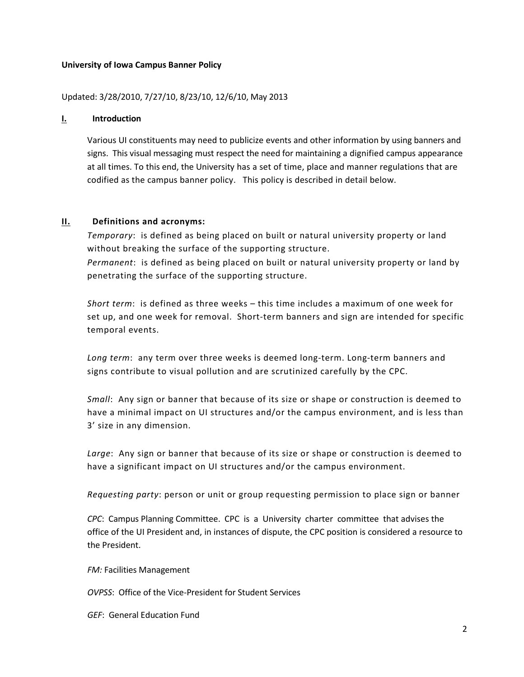## **University of Iowa Campus Banner Policy**

## Updated: 3/28/2010, 7/27/10, 8/23/10, 12/6/10, May 2013

#### **I. Introduction**

Various UI constituents may need to publicize events and other information by using banners and signs. This visual messaging must respect the need for maintaining a dignified campus appearance at all times. To this end, the University has a set of time, place and manner regulations that are codified as the campus banner policy. This policy is described in detail below.

#### **II. Definitions and acronyms:**

*Temporary*: is defined as being placed on built or natural university property or land without breaking the surface of the supporting structure. *Permanent*: is defined as being placed on built or natural university property or land by penetrating the surface of the supporting structure.

*Short term*: is defined as three weeks – this time includes a maximum of one week for set up, and one week for removal. Short-term banners and sign are intended for specific temporal events.

*Long term*: any term over three weeks is deemed long-term. Long-term banners and signs contribute to visual pollution and are scrutinized carefully by the CPC.

*Small*: Any sign or banner that because of its size or shape or construction is deemed to have a minimal impact on UI structures and/or the campus environment, and is less than 3' size in any dimension.

*Large*: Any sign or banner that because of its size or shape or construction is deemed to have a significant impact on UI structures and/or the campus environment.

*Requesting party*: person or unit or group requesting permission to place sign or banner

*CPC*: Campus Planning Committee. CPC is a University charter committee that advises the office of the UI President and, in instances of dispute, the CPC position is considered a resource to the President.

*FM:* Facilities Management

*OVPSS*: Office of the Vice-President for Student Services

*GEF*: General Education Fund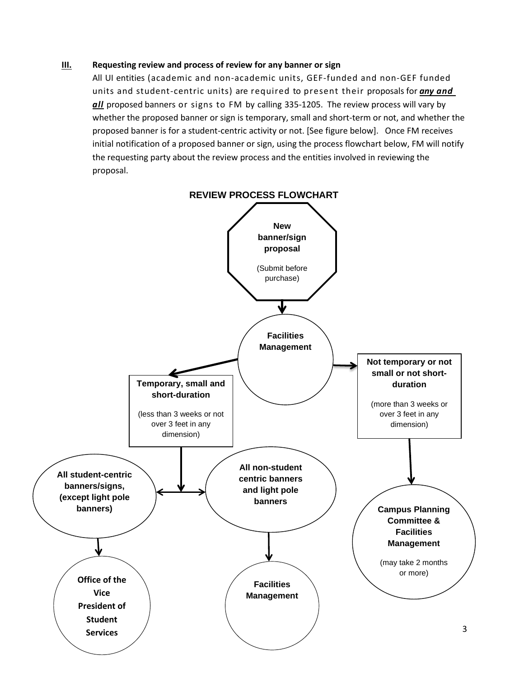## **III. Requesting review and process of review for any banner or sign**

All UI entities (academic and non-academic units, GEF-funded and non-GEF funded units and student-centric units) are required to present their proposals for *any and all* proposed banners or signs to FM by calling 335-1205. The review process will vary by whether the proposed banner or sign is temporary, small and short-term or not, and whether the proposed banner is for a student-centric activity or not. [See figure below]. Once FM receives initial notification of a proposed banner or sign, using the process flowchart below, FM will notify the requesting party about the review process and the entities involved in reviewing the proposal.

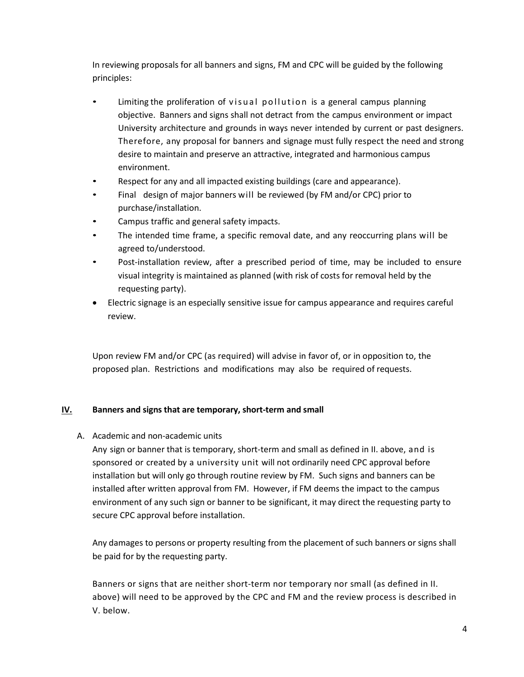In reviewing proposals for all banners and signs, FM and CPC will be guided by the following principles:

- Limiting the proliferation of visual pollution is a general campus planning objective. Banners and signs shall not detract from the campus environment or impact University architecture and grounds in ways never intended by current or past designers. Therefore, any proposal for banners and signage must fully respect the need and strong desire to maintain and preserve an attractive, integrated and harmonious campus environment.
- Respect for any and all impacted existing buildings (care and appearance).
- Final design of major banners will be reviewed (by FM and/or CPC) prior to purchase/installation.
- Campus traffic and general safety impacts.
- The intended time frame, a specific removal date, and any reoccurring plans will be agreed to/understood.
- Post-installation review, after a prescribed period of time, may be included to ensure visual integrity is maintained as planned (with risk of costs for removal held by the requesting party).
- Electric signage is an especially sensitive issue for campus appearance and requires careful review.

Upon review FM and/or CPC (as required) will advise in favor of, or in opposition to, the proposed plan. Restrictions and modifications may also be required of requests.

# **IV. Banners and signs that are temporary, short-term and small**

A. Academic and non-academic units

Any sign or banner that is temporary, short-term and small as defined in II. above, and is sponsored or created by a university unit will not ordinarily need CPC approval before installation but will only go through routine review by FM. Such signs and banners can be installed after written approval from FM. However, if FM deems the impact to the campus environment of any such sign or banner to be significant, it may direct the requesting party to secure CPC approval before installation.

Any damages to persons or property resulting from the placement of such banners or signs shall be paid for by the requesting party.

Banners or signs that are neither short-term nor temporary nor small (as defined in II. above) will need to be approved by the CPC and FM and the review process is described in V. below.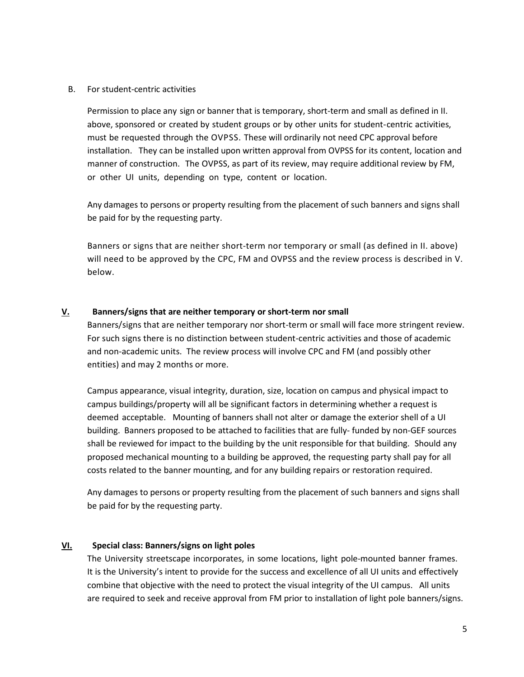B. For student-centric activities

Permission to place any sign or banner that is temporary, short-term and small as defined in II. above, sponsored or created by student groups or by other units for student-centric activities, must be requested through the OVPSS. These will ordinarily not need CPC approval before installation. They can be installed upon written approval from OVPSS for its content, location and manner of construction. The OVPSS, as part of its review, may require additional review by FM, or other UI units, depending on type, content or location.

Any damages to persons or property resulting from the placement of such banners and signs shall be paid for by the requesting party.

Banners or signs that are neither short-term nor temporary or small (as defined in II. above) will need to be approved by the CPC, FM and OVPSS and the review process is described in V. below.

# **V. Banners/signs that are neither temporary or short-term nor small**

Banners/signs that are neither temporary nor short-term or small will face more stringent review. For such signs there is no distinction between student-centric activities and those of academic and non-academic units. The review process will involve CPC and FM (and possibly other entities) and may 2 months or more.

Campus appearance, visual integrity, duration, size, location on campus and physical impact to campus buildings/property will all be significant factors in determining whether a request is deemed acceptable. Mounting of banners shall not alter or damage the exterior shell of a UI building. Banners proposed to be attached to facilities that are fully- funded by non-GEF sources shall be reviewed for impact to the building by the unit responsible for that building. Should any proposed mechanical mounting to a building be approved, the requesting party shall pay for all costs related to the banner mounting, and for any building repairs or restoration required.

Any damages to persons or property resulting from the placement of such banners and signs shall be paid for by the requesting party.

# **VI. Special class: Banners/signs on light poles**

The University streetscape incorporates, in some locations, light pole-mounted banner frames. It is the University's intent to provide for the success and excellence of all UI units and effectively combine that objective with the need to protect the visual integrity of the UI campus. All units are required to seek and receive approval from FM prior to installation of light pole banners/signs.